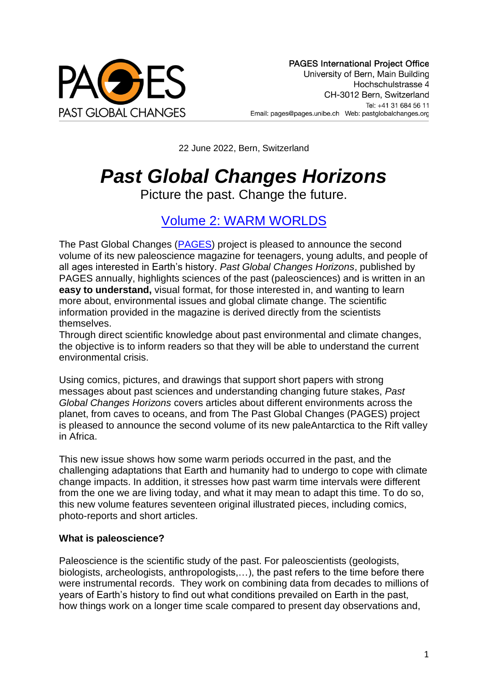

22 June 2022, Bern, Switzerland

# *Past Global Changes Horizons*

Picture the past. Change the future.

## [Volume 2: WARM WORLDS](https://doi.org/10.22498/pages.horiz.2)

The Past Global Changes [\(PAGES\)](https://pastglobalchanges.org/) project is pleased to announce the second volume of its new paleoscience magazine for teenagers, young adults, and people of all ages interested in Earth's history. *Past Global Changes Horizons*, published by PAGES annually, highlights sciences of the past (paleosciences) and is written in an **easy to understand,** visual format, for those interested in, and wanting to learn more about, environmental issues and global climate change. The scientific information provided in the magazine is derived directly from the scientists themselves.

Through direct scientific knowledge about past environmental and climate changes, the objective is to inform readers so that they will be able to understand the current environmental crisis.

Using comics, pictures, and drawings that support short papers with strong messages about past sciences and understanding changing future stakes, *Past Global Changes Horizons* covers articles about different environments across the planet, from caves to oceans, and from The Past Global Changes (PAGES) project is pleased to announce the second volume of its new paleAntarctica to the Rift valley in Africa.

This new issue shows how some warm periods occurred in the past, and the challenging adaptations that Earth and humanity had to undergo to cope with climate change impacts. In addition, it stresses how past warm time intervals were different from the one we are living today, and what it may mean to adapt this time. To do so, this new volume features seventeen original illustrated pieces, including comics, photo-reports and short articles.

### **What is paleoscience?**

Paleoscience is the scientific study of the past. For paleoscientists (geologists, biologists, archeologists, anthropologists,…), the past refers to the time before there were instrumental records. They work on combining data from decades to millions of years of Earth's history to find out what conditions prevailed on Earth in the past, how things work on a longer time scale compared to present day observations and,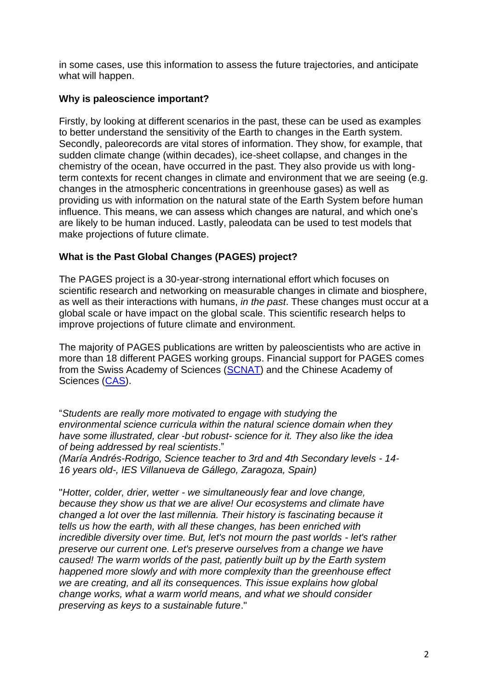in some cases, use this information to assess the future trajectories, and anticipate what will happen.

#### **Why is paleoscience important?**

Firstly, by looking at different scenarios in the past, these can be used as examples to better understand the sensitivity of the Earth to changes in the Earth system. Secondly, paleorecords are vital stores of information. They show, for example, that sudden climate change (within decades), ice-sheet collapse, and changes in the chemistry of the ocean, have occurred in the past. They also provide us with longterm contexts for recent changes in climate and environment that we are seeing (e.g. changes in the atmospheric concentrations in greenhouse gases) as well as providing us with information on the natural state of the Earth System before human influence. This means, we can assess which changes are natural, and which one's are likely to be human induced. Lastly, paleodata can be used to test models that make projections of future climate.

### **What is the Past Global Changes (PAGES) project?**

The PAGES project is a 30-year-strong international effort which focuses on scientific research and networking on measurable changes in climate and biosphere, as well as their interactions with humans, *in the past*. These changes must occur at a global scale or have impact on the global scale. This scientific research helps to improve projections of future climate and environment.

The majority of PAGES publications are written by paleoscientists who are active in more than 18 different PAGES working groups. Financial support for PAGES comes from the Swiss Academy of Sciences [\(SCNAT\)](https://scnat.ch/en) and the Chinese Academy of Sciences [\(CAS\)](https://english.cas.cn/).

"*Students are really more motivated to engage with studying the environmental science curricula within the natural science domain when they have some illustrated, clear -but robust- science for it. They also like the idea of being addressed by real scientists*."

*(María Andrés-Rodrigo, Science teacher to 3rd and 4th Secondary levels - 14- 16 years old-, IES Villanueva de Gállego, Zaragoza, Spain)*

"*Hotter, colder, drier, wetter - we simultaneously fear and love change, because they show us that we are alive! Our ecosystems and climate have changed a lot over the last millennia. Their history is fascinating because it tells us how the earth, with all these changes, has been enriched with incredible diversity over time. But, let's not mourn the past worlds - let's rather preserve our current one. Let's preserve ourselves from a change we have caused! The warm worlds of the past, patiently built up by the Earth system happened more slowly and with more complexity than the greenhouse effect we are creating, and all its consequences. This issue explains how global change works, what a warm world means, and what we should consider preserving as keys to a sustainable future*."